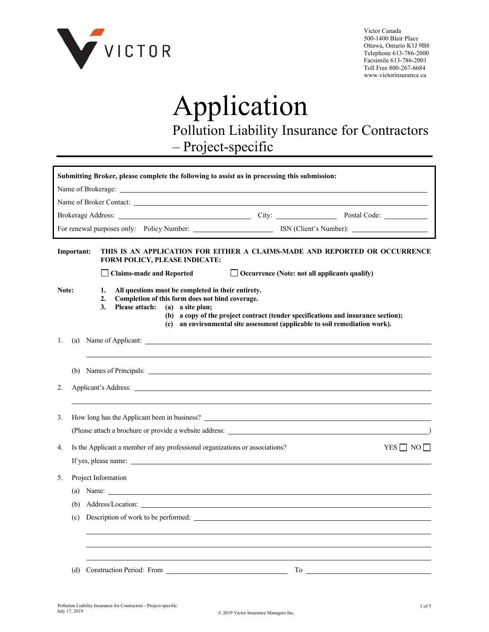

Victor Canada 500-1400 Blair Place Ottawa, Ontario K1J 9B8 Telephone 613-786-2000 Facsimile 613-786-2001 Toll Free 800-267-6684 www.victorinsurance.ca

## Application Pollution Liability Insurance for Contractors – Project-specific

|       |                           |  |                |  |                                 |  |                                                                                                                           |  |  |  | Submitting Broker, please complete the following to assist us in processing this submission:                                                                     |                                                                                                                                                                                                                                |
|-------|---------------------------|--|----------------|--|---------------------------------|--|---------------------------------------------------------------------------------------------------------------------------|--|--|--|------------------------------------------------------------------------------------------------------------------------------------------------------------------|--------------------------------------------------------------------------------------------------------------------------------------------------------------------------------------------------------------------------------|
|       |                           |  |                |  |                                 |  |                                                                                                                           |  |  |  |                                                                                                                                                                  |                                                                                                                                                                                                                                |
|       |                           |  |                |  |                                 |  |                                                                                                                           |  |  |  |                                                                                                                                                                  |                                                                                                                                                                                                                                |
|       |                           |  |                |  |                                 |  |                                                                                                                           |  |  |  |                                                                                                                                                                  |                                                                                                                                                                                                                                |
|       |                           |  |                |  |                                 |  |                                                                                                                           |  |  |  |                                                                                                                                                                  |                                                                                                                                                                                                                                |
|       | Important:                |  |                |  |                                 |  | <b>FORM POLICY, PLEASE INDICATE:</b>                                                                                      |  |  |  |                                                                                                                                                                  | THIS IS AN APPLICATION FOR EITHER A CLAIMS-MADE AND REPORTED OR OCCURRENCE                                                                                                                                                     |
|       |                           |  |                |  | <b>Claims-made and Reported</b> |  |                                                                                                                           |  |  |  | $\Box$ Occurrence (Note: not all applicants qualify)                                                                                                             |                                                                                                                                                                                                                                |
| Note: |                           |  | 1.<br>2.<br>3. |  | <b>Please attach:</b>           |  | All questions must be completed in their entirety.<br>Completion of this form does not bind coverage.<br>(a) a site plan; |  |  |  | (b) a copy of the project contract (tender specifications and insurance section);<br>(c) an environmental site assessment (applicable to soil remediation work). |                                                                                                                                                                                                                                |
| 1.    | (a)                       |  |                |  |                                 |  |                                                                                                                           |  |  |  |                                                                                                                                                                  |                                                                                                                                                                                                                                |
|       |                           |  |                |  |                                 |  |                                                                                                                           |  |  |  |                                                                                                                                                                  |                                                                                                                                                                                                                                |
| 2.    |                           |  |                |  |                                 |  |                                                                                                                           |  |  |  |                                                                                                                                                                  |                                                                                                                                                                                                                                |
| 3.    |                           |  |                |  |                                 |  |                                                                                                                           |  |  |  |                                                                                                                                                                  |                                                                                                                                                                                                                                |
|       |                           |  |                |  |                                 |  |                                                                                                                           |  |  |  |                                                                                                                                                                  |                                                                                                                                                                                                                                |
| 4.    |                           |  |                |  |                                 |  | Is the Applicant a member of any professional organizations or associations?<br>If yes, please name:                      |  |  |  |                                                                                                                                                                  | YES NO                                                                                                                                                                                                                         |
| 5.    | Project Information       |  |                |  |                                 |  |                                                                                                                           |  |  |  |                                                                                                                                                                  |                                                                                                                                                                                                                                |
|       | (a) Name: $\qquad \qquad$ |  |                |  |                                 |  |                                                                                                                           |  |  |  |                                                                                                                                                                  |                                                                                                                                                                                                                                |
|       |                           |  |                |  |                                 |  |                                                                                                                           |  |  |  |                                                                                                                                                                  |                                                                                                                                                                                                                                |
|       | (c)                       |  |                |  |                                 |  |                                                                                                                           |  |  |  | Description of work to be performed:                                                                                                                             |                                                                                                                                                                                                                                |
|       |                           |  |                |  |                                 |  |                                                                                                                           |  |  |  |                                                                                                                                                                  |                                                                                                                                                                                                                                |
|       |                           |  |                |  |                                 |  |                                                                                                                           |  |  |  |                                                                                                                                                                  | (d) Construction Period: From The Construction Period: From The Construction Period: From The Construction Period: From The Construction Period: From The Construction Period: The Construction Period: The Construction Perio |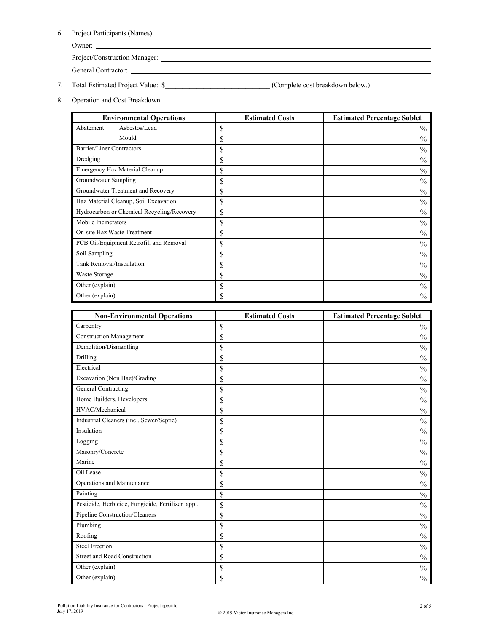6. Project Participants (Names)

Owner:

Project/Construction Manager:

General Contractor:

- 7. Total Estimated Project Value: \$\_\_\_\_\_\_\_\_\_\_\_\_\_\_\_\_\_\_\_\_\_\_\_\_\_\_\_\_\_\_ (Complete cost breakdown below.)
- 8. Operation and Cost Breakdown

| <b>Environmental Operations</b>            | <b>Estimated Costs</b> | <b>Estimated Percentage Sublet</b> |
|--------------------------------------------|------------------------|------------------------------------|
| Asbestos/Lead<br>Abatement:                | \$                     | $\frac{0}{0}$                      |
| Mould                                      | \$                     | $\frac{0}{0}$                      |
| Barrier/Liner Contractors                  | \$                     | $\frac{0}{0}$                      |
| Dredging                                   | \$                     | $\frac{0}{0}$                      |
| <b>Emergency Haz Material Cleanup</b>      | \$                     | $\frac{0}{0}$                      |
| Groundwater Sampling                       | \$                     | $\frac{0}{0}$                      |
| Groundwater Treatment and Recovery         | \$                     | $\frac{0}{0}$                      |
| Haz Material Cleanup, Soil Excavation      | \$                     | $\frac{0}{0}$                      |
| Hydrocarbon or Chemical Recycling/Recovery | \$                     | $\frac{0}{0}$                      |
| Mobile Incinerators                        | \$                     | $\frac{0}{0}$                      |
| On-site Haz Waste Treatment                | \$                     | $\%$                               |
| PCB Oil/Equipment Retrofill and Removal    | \$                     | $\frac{0}{0}$                      |
| Soil Sampling                              | \$                     | $\%$                               |
| Tank Removal/Installation                  | \$                     | $\frac{0}{0}$                      |
| Waste Storage                              | \$                     | $\%$                               |
| Other (explain)                            | \$                     | $\frac{0}{0}$                      |
| Other (explain)                            | \$                     | $\%$                               |

| <b>Non-Environmental Operations</b>               | <b>Estimated Costs</b> | <b>Estimated Percentage Sublet</b> |
|---------------------------------------------------|------------------------|------------------------------------|
| Carpentry                                         | \$                     | $\frac{0}{0}$                      |
| <b>Construction Management</b>                    | \$                     | $\frac{0}{0}$                      |
| Demolition/Dismantling                            | \$                     | $\frac{0}{0}$                      |
| Drilling                                          | \$                     | $\frac{0}{0}$                      |
| Electrical                                        | \$                     | $\frac{0}{0}$                      |
| Excavation (Non Haz)/Grading                      | \$                     | $\frac{0}{0}$                      |
| General Contracting                               | \$                     | $\frac{0}{0}$                      |
| Home Builders, Developers                         | \$                     | $\frac{0}{0}$                      |
| HVAC/Mechanical                                   | \$                     | $\frac{0}{0}$                      |
| Industrial Cleaners (incl. Sewer/Septic)          | \$                     | $\frac{0}{0}$                      |
| Insulation                                        | \$                     | $\frac{0}{0}$                      |
| Logging                                           | \$                     | $\frac{0}{0}$                      |
| Masonry/Concrete                                  | \$                     | $\frac{0}{0}$                      |
| Marine                                            | \$                     | $\frac{0}{0}$                      |
| Oil Lease                                         | \$                     | $\frac{0}{0}$                      |
| Operations and Maintenance                        | \$                     | $\frac{0}{0}$                      |
| Painting                                          | \$                     | $\frac{0}{0}$                      |
| Pesticide, Herbicide, Fungicide, Fertilizer appl. | \$                     | $\frac{0}{0}$                      |
| Pipeline Construction/Cleaners                    | \$                     | $\frac{0}{0}$                      |
| Plumbing                                          | \$                     | $\frac{0}{0}$                      |
| Roofing                                           | \$                     | $\frac{0}{0}$                      |
| <b>Steel Erection</b>                             | \$                     | $\frac{0}{0}$                      |
| <b>Street and Road Construction</b>               | \$                     | $\frac{0}{0}$                      |
| Other (explain)                                   | \$                     | $\frac{0}{0}$                      |
| Other (explain)                                   | \$                     | $\frac{0}{0}$                      |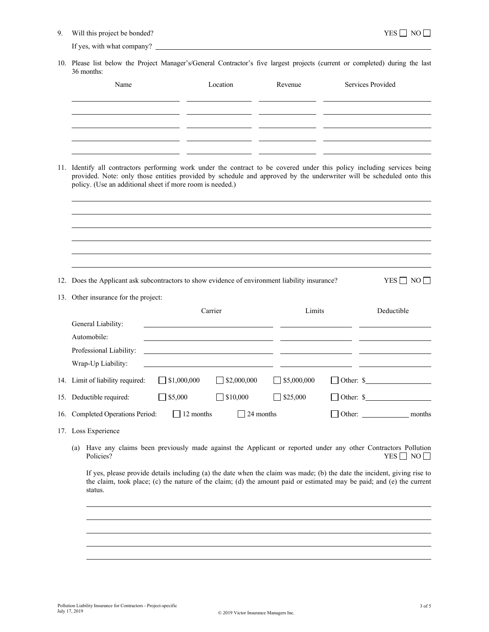9. Will this project be bonded? YES  $\Box$  NO  $\Box$ 

If yes, with what company?

10. Please list below the Project Manager's/General Contractor's five largest projects (current or completed) during the last 36 months:

| Name                                                                                                                                                                                                                                                                                                          | Location                                                                                                              | Revenue            | Services Provided |                             |  |  |  |  |
|---------------------------------------------------------------------------------------------------------------------------------------------------------------------------------------------------------------------------------------------------------------------------------------------------------------|-----------------------------------------------------------------------------------------------------------------------|--------------------|-------------------|-----------------------------|--|--|--|--|
|                                                                                                                                                                                                                                                                                                               |                                                                                                                       |                    |                   |                             |  |  |  |  |
| 11. Identify all contractors performing work under the contract to be covered under this policy including services being<br>provided. Note: only those entities provided by schedule and approved by the underwriter will be scheduled onto this<br>policy. (Use an additional sheet if more room is needed.) |                                                                                                                       |                    |                   |                             |  |  |  |  |
| 12. Does the Applicant ask subcontractors to show evidence of environment liability insurance?                                                                                                                                                                                                                |                                                                                                                       |                    |                   | $YES \Box NO \Box$          |  |  |  |  |
| 13. Other insurance for the project:                                                                                                                                                                                                                                                                          |                                                                                                                       |                    |                   |                             |  |  |  |  |
|                                                                                                                                                                                                                                                                                                               | Carrier                                                                                                               | Limits             |                   | Deductible                  |  |  |  |  |
| General Liability:                                                                                                                                                                                                                                                                                            |                                                                                                                       |                    |                   |                             |  |  |  |  |
| Automobile:                                                                                                                                                                                                                                                                                                   |                                                                                                                       |                    |                   |                             |  |  |  |  |
| Professional Liability:                                                                                                                                                                                                                                                                                       | <u> 1989 - Johann Barbara, martin amerikan basar dan berasal dan berasal dalam basar dalam basar dalam basar dala</u> |                    |                   |                             |  |  |  |  |
| Wrap-Up Liability:                                                                                                                                                                                                                                                                                            |                                                                                                                       |                    |                   |                             |  |  |  |  |
| 14. Limit of liability required:<br>$\Box$ \$1,000,000                                                                                                                                                                                                                                                        | $\Box$ \$2,000,000                                                                                                    | $\Box$ \$5,000,000 |                   | Other: $\sqrt{\phantom{a}}$ |  |  |  |  |
| $\Box$ \$5,000<br>15. Deductible required:                                                                                                                                                                                                                                                                    | $\Box$ \$10,000                                                                                                       | \$25,000           |                   | Other: $\sqrt{\phantom{a}}$ |  |  |  |  |
| 16. Completed Operations Period:                                                                                                                                                                                                                                                                              | $\Box$ 12 months<br>$\mathsf{L}$                                                                                      | 24 months          |                   |                             |  |  |  |  |
| 17. Loss Experience                                                                                                                                                                                                                                                                                           |                                                                                                                       |                    |                   |                             |  |  |  |  |
| (a) Have any claims been previously made against the Applicant or reported under any other Contractors Pollution<br>Policies?                                                                                                                                                                                 |                                                                                                                       |                    |                   | $YES \Box NO \Box$          |  |  |  |  |
| If yes, please provide details including (a) the date when the claim was made; (b) the date the incident, giving rise to<br>the claim, took place; (c) the nature of the claim; (d) the amount paid or estimated may be paid; and (e) the current<br>status.                                                  |                                                                                                                       |                    |                   |                             |  |  |  |  |
|                                                                                                                                                                                                                                                                                                               |                                                                                                                       |                    |                   |                             |  |  |  |  |
|                                                                                                                                                                                                                                                                                                               |                                                                                                                       |                    |                   |                             |  |  |  |  |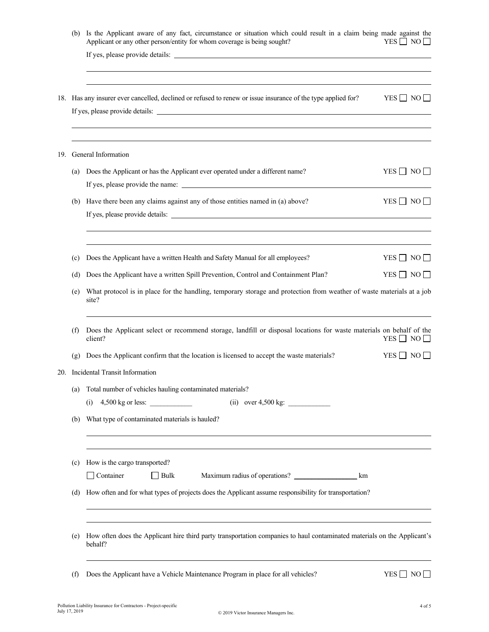|  | (b) | Is the Applicant aware of any fact, circumstance or situation which could result in a claim being made against the<br>Applicant or any other person/entity for whom coverage is being sought? | $YES \Box NO \Box$ |  |
|--|-----|-----------------------------------------------------------------------------------------------------------------------------------------------------------------------------------------------|--------------------|--|
|  |     | <u> 1989 - Johann Stoff, amerikansk politiker (* 1908)</u><br>18. Has any insurer ever cancelled, declined or refused to renew or issue insurance of the type applied for? YES NO             |                    |  |
|  |     | ,我们也不会有什么。""我们的人,我们也不会有什么?""我们的人,我们也不会有什么?""我们的人,我们也不会有什么?""我们的人,我们也不会有什么?""我们的人<br>19. General Information                                                                                   |                    |  |
|  | (a) | Does the Applicant or has the Applicant ever operated under a different name?                                                                                                                 | $YES \Box NO \Box$ |  |
|  | (b) | Have there been any claims against any of those entities named in (a) above?                                                                                                                  | $YES \Box NO \Box$ |  |
|  | (c) | Does the Applicant have a written Health and Safety Manual for all employees?                                                                                                                 | $YES \Box NO \Box$ |  |
|  | (d) | Does the Applicant have a written Spill Prevention, Control and Containment Plan?                                                                                                             | $YES \Box NO \Box$ |  |
|  | (e) | What protocol is in place for the handling, temporary storage and protection from weather of waste materials at a job<br>site?                                                                |                    |  |
|  | (f) | Does the Applicant select or recommend storage, landfill or disposal locations for waste materials on behalf of the<br>client?                                                                | $YES \Box NO \Box$ |  |
|  | (g) | Does the Applicant confirm that the location is licensed to accept the waste materials?                                                                                                       | $YES \Box NO \Box$ |  |
|  |     | 20. Incidental Transit Information                                                                                                                                                            |                    |  |
|  | (a) | Total number of vehicles hauling contaminated materials?                                                                                                                                      |                    |  |
|  |     | (ii) over $4,500 \text{ kg}$ :<br>$4,500$ kg or less:<br>(i)                                                                                                                                  |                    |  |
|  | (b) | What type of contaminated materials is hauled?                                                                                                                                                |                    |  |
|  |     |                                                                                                                                                                                               |                    |  |
|  | (c) | How is the cargo transported?                                                                                                                                                                 |                    |  |
|  |     | Container<br>$\Box$ Bulk                                                                                                                                                                      |                    |  |
|  | (d) | How often and for what types of projects does the Applicant assume responsibility for transportation?                                                                                         |                    |  |
|  | (e) | How often does the Applicant hire third party transportation companies to haul contaminated materials on the Applicant's<br>behalf?                                                           |                    |  |
|  | (f) | Does the Applicant have a Vehicle Maintenance Program in place for all vehicles?                                                                                                              | $YES \Box NO \Box$ |  |